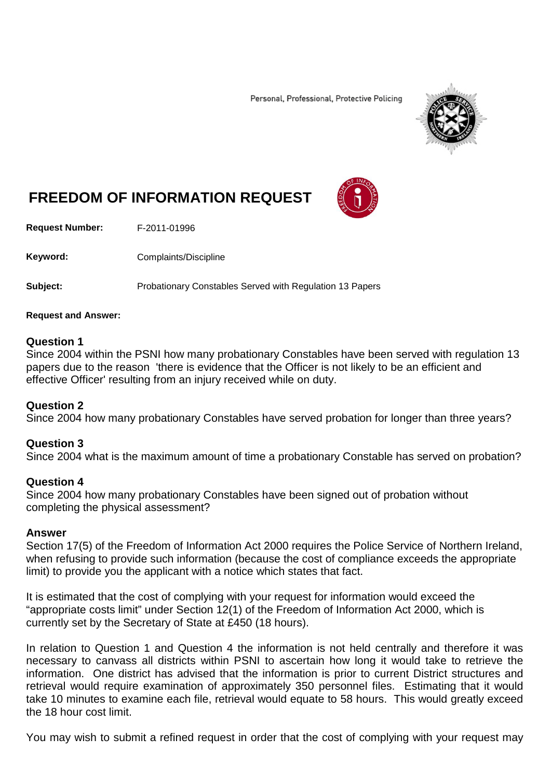Personal, Professional, Protective Policing



# **FREEDOM OF INFORMATION REQUEST**

**Request Number:** F-2011-01996

Keyword: Complaints/Discipline

**Subject:** Probationary Constables Served with Regulation 13 Papers

#### **Request and Answer:**

### **Question 1**

Since 2004 within the PSNI how many probationary Constables have been served with regulation 13 papers due to the reason 'there is evidence that the Officer is not likely to be an efficient and effective Officer' resulting from an injury received while on duty.

### **Question 2**

Since 2004 how many probationary Constables have served probation for longer than three years?

### **Question 3**

Since 2004 what is the maximum amount of time a probationary Constable has served on probation?

### **Question 4**

Since 2004 how many probationary Constables have been signed out of probation without completing the physical assessment?

### **Answer**

Section 17(5) of the Freedom of Information Act 2000 requires the Police Service of Northern Ireland, when refusing to provide such information (because the cost of compliance exceeds the appropriate limit) to provide you the applicant with a notice which states that fact.

It is estimated that the cost of complying with your request for information would exceed the "appropriate costs limit" under Section 12(1) of the Freedom of Information Act 2000, which is currently set by the Secretary of State at £450 (18 hours).

In relation to Question 1 and Question 4 the information is not held centrally and therefore it was necessary to canvass all districts within PSNI to ascertain how long it would take to retrieve the information. One district has advised that the information is prior to current District structures and retrieval would require examination of approximately 350 personnel files. Estimating that it would take 10 minutes to examine each file, retrieval would equate to 58 hours. This would greatly exceed the 18 hour cost limit.

You may wish to submit a refined request in order that the cost of complying with your request may